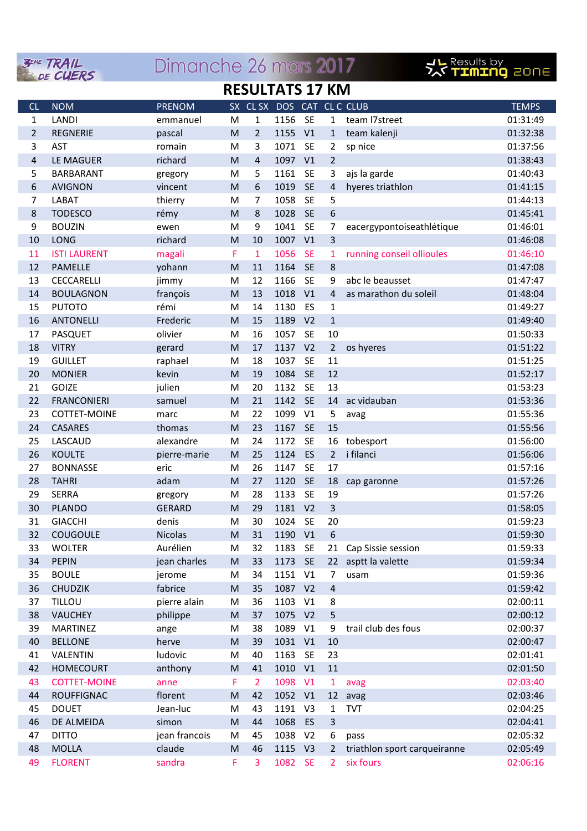

## Dimanche 26 mars 2017



## **RESULTATS 17 KM**

| CL               | <b>NOM</b>          | <b>PRENOM</b>  |   | SX CL SX DOS CAT CL C CLUB |         |                |                |                              | <b>TEMPS</b> |
|------------------|---------------------|----------------|---|----------------------------|---------|----------------|----------------|------------------------------|--------------|
| $\mathbf{1}$     | <b>LANDI</b>        | emmanuel       | M | $\mathbf{1}$               | 1156 SE |                | $\mathbf{1}$   | team I7street                | 01:31:49     |
| $\overline{2}$   | <b>REGNERIE</b>     | pascal         | M | $\overline{2}$             | 1155    | V1             | $\mathbf{1}$   | team kalenji                 | 01:32:38     |
| 3                | <b>AST</b>          | romain         | M | 3                          | 1071    | <b>SE</b>      | $\overline{2}$ | sp nice                      | 01:37:56     |
| $\sqrt{4}$       | LE MAGUER           | richard        | M | $\overline{4}$             | 1097    | V1             | $\overline{2}$ |                              | 01:38:43     |
| 5                | <b>BARBARANT</b>    | gregory        | M | 5                          | 1161    | <b>SE</b>      | 3              | ajs la garde                 | 01:40:43     |
| 6                | <b>AVIGNON</b>      | vincent        | M | 6                          | 1019    | <b>SE</b>      | $\overline{4}$ | hyeres triathlon             | 01:41:15     |
| $\overline{7}$   | LABAT               | thierry        | M | $\overline{7}$             | 1058    | <b>SE</b>      | 5              |                              | 01:44:13     |
| 8                | <b>TODESCO</b>      | rémy           | M | 8                          | 1028    | <b>SE</b>      | 6              |                              | 01:45:41     |
| $\boldsymbol{9}$ | <b>BOUZIN</b>       | ewen           | M | 9                          | 1041    | <b>SE</b>      | 7              | eacergypontoiseathlétique    | 01:46:01     |
| 10               | LONG                | richard        | M | 10                         | 1007    | V1             | $\overline{3}$ |                              | 01:46:08     |
| 11               | <b>ISTI LAURENT</b> | magali         | F | $\mathbf{1}$               | 1056    | <b>SE</b>      | $\mathbf{1}$   | running conseil ollioules    | 01:46:10     |
| 12               | PAMELLE             | yohann         | M | 11                         | 1164    | <b>SE</b>      | 8              |                              | 01:47:08     |
| 13               | <b>CECCARELLI</b>   | jimmy          | M | 12                         | 1166    | <b>SE</b>      | 9              | abc le beausset              | 01:47:47     |
| 14               | <b>BOULAGNON</b>    | françois       | M | 13                         | 1018    | V1             | $\overline{4}$ | as marathon du soleil        | 01:48:04     |
| 15               | <b>PUTOTO</b>       | rémi           | M | 14                         | 1130    | ES             | $\mathbf{1}$   |                              | 01:49:27     |
| 16               | <b>ANTONELLI</b>    | Frederic       | M | 15                         | 1189    | V <sub>2</sub> | $\mathbf{1}$   |                              | 01:49:40     |
| 17               | <b>PASQUET</b>      | olivier        | M | 16                         | 1057    | <b>SE</b>      | 10             |                              | 01:50:33     |
| 18               | <b>VITRY</b>        | gerard         | M | 17                         | 1137    | V <sub>2</sub> | $\overline{2}$ | os hyeres                    | 01:51:22     |
| 19               | <b>GUILLET</b>      | raphael        | M | 18                         | 1037    | <b>SE</b>      | 11             |                              | 01:51:25     |
| 20               | <b>MONIER</b>       | kevin          | M | 19                         | 1084    | <b>SE</b>      | 12             |                              | 01:52:17     |
| 21               | GOIZE               | julien         | M | 20                         | 1132    | <b>SE</b>      | 13             |                              | 01:53:23     |
| 22               | <b>FRANCONIERI</b>  | samuel         | M | 21                         | 1142    | <b>SE</b>      | 14             | ac vidauban                  | 01:53:36     |
| 23               | <b>COTTET-MOINE</b> | marc           | M | 22                         | 1099    | V1             | 5              | avag                         | 01:55:36     |
| 24               | <b>CASARES</b>      | thomas         | M | 23                         | 1167    | <b>SE</b>      | 15             |                              | 01:55:56     |
| 25               | LASCAUD             | alexandre      | M | 24                         | 1172    | <b>SE</b>      | 16             | tobesport                    | 01:56:00     |
| 26               | <b>KOULTE</b>       | pierre-marie   | M | 25                         | 1124    | ES             | $\overline{2}$ | i filanci                    | 01:56:06     |
| 27               | <b>BONNASSE</b>     | eric           | M | 26                         | 1147    | <b>SE</b>      | 17             |                              | 01:57:16     |
| 28               | <b>TAHRI</b>        | adam           | M | 27                         | 1120    | <b>SE</b>      | 18             | cap garonne                  | 01:57:26     |
| 29               | <b>SERRA</b>        | gregory        | M | 28                         | 1133    | <b>SE</b>      | 19             |                              | 01:57:26     |
| 30               | <b>PLANDO</b>       | <b>GERARD</b>  | M | 29                         | 1181 V2 |                | $\overline{3}$ |                              | 01:58:05     |
| 31               | <b>GIACCHI</b>      | denis          | M | 30                         | 1024    | <b>SE</b>      | 20             |                              | 01:59:23     |
| 32               | <b>COUGOULE</b>     | <b>Nicolas</b> | M | 31                         | 1190 V1 |                | 6              |                              | 01:59:30     |
| 33               | <b>WOLTER</b>       | Aurélien       | M | 32                         | 1183 SE |                |                | 21 Cap Sissie session        | 01:59:33     |
| 34               | <b>PEPIN</b>        | jean charles   | M | 33                         | 1173    | <b>SE</b>      | 22             | asptt la valette             | 01:59:34     |
| 35               | <b>BOULE</b>        | jerome         | M | 34                         | 1151 V1 |                | $\overline{7}$ | usam                         | 01:59:36     |
| 36               | <b>CHUDZIK</b>      | fabrice        | M | 35                         | 1087 V2 |                | $\overline{4}$ |                              | 01:59:42     |
| 37               | TILLOU              | pierre alain   | M | 36                         | 1103    | V1             | 8              |                              | 02:00:11     |
| 38               | <b>VAUCHEY</b>      | philippe       | M | 37                         | 1075 V2 |                | 5              |                              | 02:00:12     |
| 39               | <b>MARTINEZ</b>     | ange           | M | 38                         | 1089    | V1             | 9              | trail club des fous          | 02:00:37     |
| 40               | <b>BELLONE</b>      | herve          | M | 39                         | 1031 V1 |                | 10             |                              | 02:00:47     |
| 41               | VALENTIN            | ludovic        | M | 40                         | 1163    | <b>SE</b>      | 23             |                              | 02:01:41     |
| 42               | <b>HOMECOURT</b>    | anthony        | M | 41                         | 1010 V1 |                | 11             |                              | 02:01:50     |
| 43               | <b>COTTET-MOINE</b> | anne           | F | $\overline{2}$             | 1098    | V <sub>1</sub> | $\mathbf{1}$   | avag                         | 02:03:40     |
| 44               | <b>ROUFFIGNAC</b>   | florent        | M | 42                         | 1052 V1 |                |                | 12 avag                      | 02:03:46     |
| 45               | <b>DOUET</b>        | Jean-luc       | M | 43                         | 1191    | V <sub>3</sub> | $\mathbf{1}$   | <b>TVT</b>                   | 02:04:25     |
| 46               | DE ALMEIDA          | simon          | M | 44                         | 1068    | ES             | $\mathbf{3}$   |                              | 02:04:41     |
| 47               | <b>DITTO</b>        | jean francois  | M | 45                         | 1038    | V <sub>2</sub> | 6              | pass                         | 02:05:32     |
| 48               | <b>MOLLA</b>        | claude         | M | 46                         | 1115 V3 |                | $2^{\circ}$    | triathlon sport carqueiranne | 02:05:49     |
| 49               | <b>FLORENT</b>      | sandra         | F | 3                          | 1082 SE |                | $\overline{2}$ | six fours                    | 02:06:16     |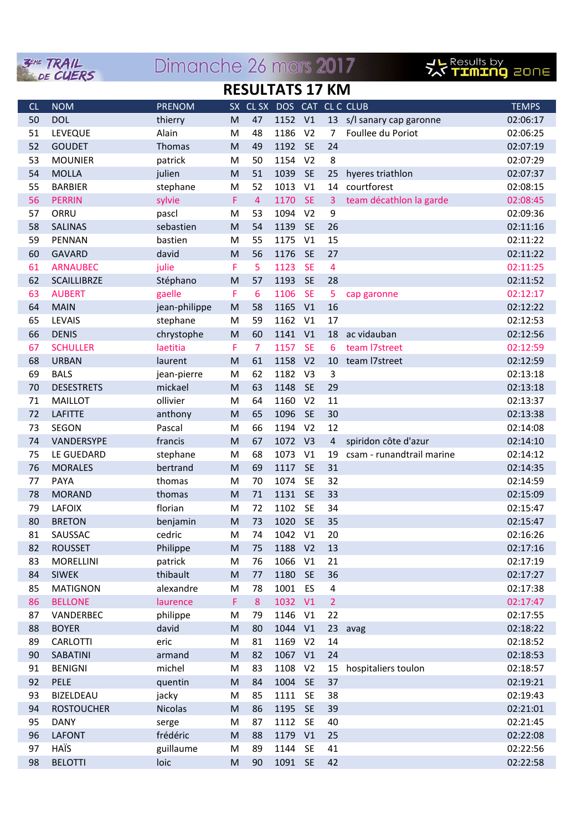|                        | $\mathbf{W}$<br>DE CUERS         | <u>DIFFICHTE ZO HIGIS ZUI /</u> |                                                                                                                 |                 |                            |                 |                | <b>XY TIMING</b> ZONE     |                      |
|------------------------|----------------------------------|---------------------------------|-----------------------------------------------------------------------------------------------------------------|-----------------|----------------------------|-----------------|----------------|---------------------------|----------------------|
| <b>RESULTATS 17 KM</b> |                                  |                                 |                                                                                                                 |                 |                            |                 |                |                           |                      |
| CL                     | <b>NOM</b>                       | <b>PRENOM</b>                   |                                                                                                                 |                 | SX CL SX DOS CAT CL C CLUB |                 |                |                           | <b>TEMPS</b>         |
| 50                     | <b>DOL</b>                       | thierry                         | M                                                                                                               | 47              | 1152 V1                    |                 |                | 13 s/l sanary cap garonne | 02:06:17             |
| 51                     | LEVEQUE                          | Alain                           | M                                                                                                               | 48              | 1186                       | V <sub>2</sub>  | $\overline{7}$ | Foullee du Poriot         | 02:06:25             |
| 52                     | <b>GOUDET</b>                    | Thomas                          | M                                                                                                               | 49              | 1192                       | <b>SE</b>       | 24             |                           | 02:07:19             |
| 53                     | <b>MOUNIER</b>                   | patrick                         | M                                                                                                               | 50              | 1154                       | V <sub>2</sub>  | 8              |                           | 02:07:29             |
| 54                     | <b>MOLLA</b>                     | julien                          | M                                                                                                               | 51              | 1039                       | <b>SE</b>       | 25             | hyeres triathlon          | 02:07:37             |
| 55                     | <b>BARBIER</b>                   | stephane                        | M                                                                                                               | 52              | 1013                       | V1              | 14             | courtforest               | 02:08:15             |
| 56                     | <b>PERRIN</b>                    | sylvie                          | F                                                                                                               | $\overline{4}$  | 1170                       | <b>SE</b>       | $\mathbf{3}$   | team décathlon la garde   | 02:08:45             |
| 57                     | ORRU                             | pascl                           | M                                                                                                               | 53              | 1094                       | V <sub>2</sub>  | 9              |                           | 02:09:36             |
| 58                     | <b>SALINAS</b>                   | sebastien                       | M                                                                                                               | 54              | 1139                       | <b>SE</b>       | 26             |                           | 02:11:16             |
| 59                     | PENNAN                           | bastien                         | M                                                                                                               | 55              | 1175                       | V <sub>1</sub>  | 15             |                           | 02:11:22             |
| 60                     | <b>GAVARD</b>                    | david                           | M                                                                                                               | 56              | 1176                       | <b>SE</b>       | 27             |                           | 02:11:22             |
| 61                     | <b>ARNAUBEC</b>                  | julie                           | F                                                                                                               | 5               | 1123                       | <b>SE</b>       | $\overline{4}$ |                           | 02:11:25             |
| 62                     | <b>SCAILLIBRZE</b>               | Stéphano                        | M                                                                                                               | 57              | 1193                       | <b>SE</b>       | 28             |                           | 02:11:52             |
| 63                     | <b>AUBERT</b>                    | gaelle                          | F                                                                                                               | 6               | 1106                       | <b>SE</b>       | 5              | cap garonne               | 02:12:17             |
| 64                     | <b>MAIN</b>                      | jean-philippe                   | M                                                                                                               | 58              | 1165                       | V <sub>1</sub>  | 16             |                           | 02:12:22             |
| 65                     | <b>LEVAIS</b>                    | stephane                        | M                                                                                                               | 59              | 1162                       | V <sub>1</sub>  | 17             |                           | 02:12:53             |
| 66                     | <b>DENIS</b>                     | chrystophe                      | M                                                                                                               | 60              | 1141                       | V1              | 18             | ac vidauban               | 02:12:56             |
| 67                     | <b>SCHULLER</b>                  | laetitia                        | F                                                                                                               | $\overline{7}$  | 1157                       | <b>SE</b>       | 6              | team I7street             | 02:12:59             |
| 68                     | <b>URBAN</b>                     | laurent                         | M                                                                                                               | 61              | 1158                       | V <sub>2</sub>  | 10             | team l7street             | 02:12:59             |
| 69                     | <b>BALS</b>                      | jean-pierre                     | M                                                                                                               | 62              | 1182                       | V <sub>3</sub>  | 3              |                           | 02:13:18             |
| 70                     | <b>DESESTRETS</b>                | mickael                         | M                                                                                                               | 63              | 1148                       | <b>SE</b>       | 29             |                           | 02:13:18             |
| 71                     | <b>MAILLOT</b>                   | ollivier                        | M                                                                                                               | 64              | 1160                       | V <sub>2</sub>  | 11             |                           | 02:13:37             |
| 72                     | <b>LAFITTE</b>                   | anthony                         | M                                                                                                               | 65              | 1096                       | <b>SE</b>       | 30             |                           | 02:13:38             |
| 73                     | <b>SEGON</b>                     | Pascal                          | M                                                                                                               | 66              | 1194                       | V <sub>2</sub>  | 12             |                           | 02:14:08             |
| 74                     | VANDERSYPE                       | francis                         | M                                                                                                               | 67              | 1072 V3                    |                 | $\overline{4}$ | spiridon côte d'azur      | 02:14:10             |
| 75                     | LE GUEDARD                       | stephane                        | M                                                                                                               | 68              | 1073                       | V <sub>1</sub>  | 19             | csam - runandtrail marine | 02:14:12             |
| 76                     | <b>MORALES</b>                   | bertrand                        | M                                                                                                               | 69              | 1117                       | <b>SE</b>       | 31             |                           | 02:14:35             |
| 77                     | PAYA                             | thomas                          | M                                                                                                               | 70              | 1074                       | <b>SE</b>       | 32             |                           | 02:14:59             |
| 78                     | <b>MORAND</b>                    | thomas                          | M                                                                                                               | 71              | 1131 SE                    |                 | 33             |                           | 02:15:09             |
| 79                     | <b>LAFOIX</b>                    | florian                         | M                                                                                                               | 72              | 1102                       | <b>SE</b>       | 34             |                           | 02:15:47             |
| 80                     | <b>BRETON</b>                    | benjamin                        | M                                                                                                               | 73              | 1020 SE                    |                 | 35             |                           | 02:15:47             |
| 81                     | SAUSSAC                          | cedric                          | M                                                                                                               | 74              | 1042                       | V1              | 20             |                           | 02:16:26             |
| 82                     | <b>ROUSSET</b>                   | Philippe                        | M                                                                                                               | 75              | 1188                       | V <sub>2</sub>  | 13<br>21       |                           | 02:17:16<br>02:17:19 |
| 83<br>84               | <b>MORELLINI</b><br><b>SIWEK</b> | patrick<br>thibault             | M<br>$\mathsf{M}% _{T}=\mathsf{M}_{T}\!\left( a,b\right) ,\ \mathsf{M}_{T}=\mathsf{M}_{T}\!\left( a,b\right) ,$ | 76              | 1066<br>1180               | V1<br><b>SE</b> | 36             |                           | 02:17:27             |
| 85                     | <b>MATIGNON</b>                  | alexandre                       | M                                                                                                               | 77<br>78        | 1001 ES                    |                 | 4              |                           | 02:17:38             |
| 86                     | <b>BELLONE</b>                   | laurence                        | F                                                                                                               | 8               | 1032 V1                    |                 | $\overline{2}$ |                           | 02:17:47             |
| 87                     | VANDERBEC                        | philippe                        | M                                                                                                               | 79              | 1146                       | V1              | 22             |                           | 02:17:55             |
| 88                     | <b>BOYER</b>                     | david                           | $\mathsf{M}% _{T}=\mathsf{M}_{T}\!\left( a,b\right) ,\ \mathsf{M}_{T}=\mathsf{M}_{T}\!\left( a,b\right) ,$      | 80              | 1044                       | V1              | 23             | avag                      | 02:18:22             |
| 89                     | CARLOTTI                         | eric                            | M                                                                                                               | 81              | 1169                       | V <sub>2</sub>  | 14             |                           | 02:18:52             |
| 90                     | SABATINI                         | armand                          | M                                                                                                               | 82              | 1067                       | V1              | 24             |                           | 02:18:53             |
| 91                     | <b>BENIGNI</b>                   | michel                          | M                                                                                                               | 83              | 1108                       | V <sub>2</sub>  | 15             | hospitaliers toulon       | 02:18:57             |
| 92                     | PELE                             | quentin                         | ${\sf M}$                                                                                                       | 84              | 1004                       | <b>SE</b>       | 37             |                           | 02:19:21             |
| 93                     | BIZELDEAU                        | jacky                           | M                                                                                                               | 85              | 1111                       | SE              | 38             |                           | 02:19:43             |
| 94                     | <b>ROSTOUCHER</b>                | <b>Nicolas</b>                  | M                                                                                                               | 86              | 1195                       | <b>SE</b>       | 39             |                           | 02:21:01             |
| 95                     | <b>DANY</b>                      | serge                           | M                                                                                                               | 87              | 1112                       | <b>SE</b>       | 40             |                           | 02:21:45             |
| 96                     | <b>LAFONT</b>                    | frédéric                        | M                                                                                                               | 88              | 1179                       | V1              | 25             |                           | 02:22:08             |
| 97                     | <b>HAÏS</b>                      | guillaume                       | M                                                                                                               | 89              | 1144 SE                    |                 | 41             |                           | 02:22:56             |
| 98                     | <b>RELOTTI</b>                   | Inic                            | M                                                                                                               | 90 <sub>1</sub> | 1091 SF 42                 |                 |                |                           | 02.22.58             |

Dimension 2/ more 2017

**ZEME TRAIL**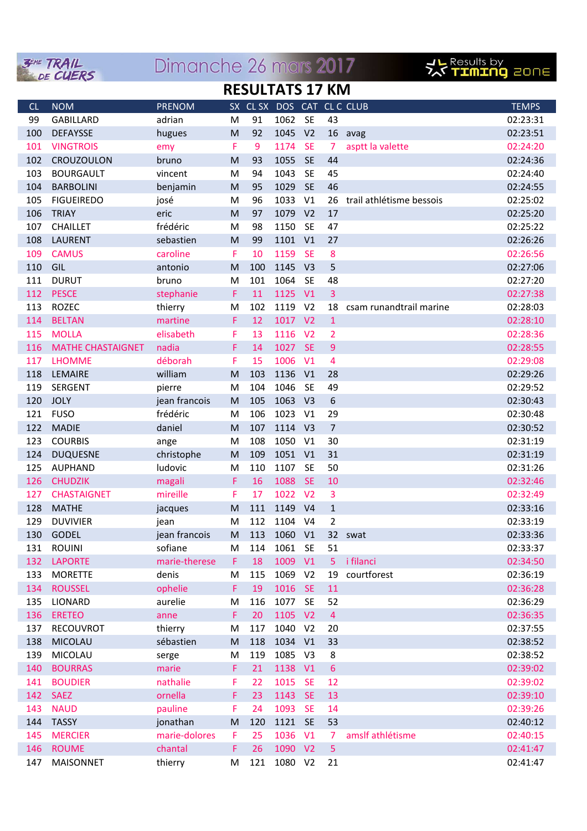

## Dimanche 26 mars 2017



## **RESULTATS 17 KM**

| CL  | <b>NOM</b>               | <b>PRENOM</b> | <b>SX</b> |     | CL SX DOS CAT CL C CLUB |                |                |                          | <b>TEMPS</b> |
|-----|--------------------------|---------------|-----------|-----|-------------------------|----------------|----------------|--------------------------|--------------|
| 99  | <b>GABILLARD</b>         | adrian        | M         | 91  | 1062                    | <b>SE</b>      | 43             |                          | 02:23:31     |
| 100 | <b>DEFAYSSE</b>          | hugues        | M         | 92  | 1045                    | V <sub>2</sub> |                | 16 avag                  | 02:23:51     |
| 101 | <b>VINGTROIS</b>         | emy           | F         | 9   | 1174                    | <b>SE</b>      | 7              | asptt la valette         | 02:24:20     |
| 102 | CROUZOULON               | bruno         | M         | 93  | 1055                    | <b>SE</b>      | 44             |                          | 02:24:36     |
| 103 | <b>BOURGAULT</b>         | vincent       | M         | 94  | 1043                    | <b>SE</b>      | 45             |                          | 02:24:40     |
| 104 | <b>BARBOLINI</b>         | benjamin      | M         | 95  | 1029                    | <b>SE</b>      | 46             |                          | 02:24:55     |
| 105 | <b>FIGUEIREDO</b>        | josé          | M         | 96  | 1033                    | V1             | 26             | trail athlétisme bessois | 02:25:02     |
| 106 | <b>TRIAY</b>             | eric          | M         | 97  | 1079                    | V <sub>2</sub> | 17             |                          | 02:25:20     |
| 107 | <b>CHAILLET</b>          | frédéric      | M         | 98  | 1150                    | <b>SE</b>      | 47             |                          | 02:25:22     |
| 108 | <b>LAURENT</b>           | sebastien     | M         | 99  | 1101                    | V <sub>1</sub> | 27             |                          | 02:26:26     |
| 109 | <b>CAMUS</b>             | caroline      | F         | 10  | 1159                    | <b>SE</b>      | 8              |                          | 02:26:56     |
| 110 | GIL                      | antonio       | M         | 100 | 1145                    | V <sub>3</sub> | 5              |                          | 02:27:06     |
| 111 | <b>DURUT</b>             | bruno         | M         | 101 | 1064                    | <b>SE</b>      | 48             |                          | 02:27:20     |
| 112 | <b>PESCE</b>             | stephanie     | F         | 11  | 1125                    | V1             | $\overline{3}$ |                          | 02:27:38     |
| 113 | <b>ROZEC</b>             | thierry       | M         | 102 | 1119                    | V <sub>2</sub> | 18             | csam runandtrail marine  | 02:28:03     |
| 114 | <b>BELTAN</b>            | martine       | F         | 12  | 1017                    | V <sub>2</sub> | $1\,$          |                          | 02:28:10     |
| 115 | <b>MOLLA</b>             | elisabeth     | F         | 13  | 1116                    | V <sub>2</sub> | $\overline{2}$ |                          | 02:28:36     |
| 116 | <b>MATHE CHASTAIGNET</b> | nadia         | F         | 14  | 1027                    | <b>SE</b>      | $\overline{9}$ |                          | 02:28:55     |
| 117 | <b>LHOMME</b>            | déborah       | F         | 15  | 1006                    | V <sub>1</sub> | 4              |                          | 02:29:08     |
| 118 | LEMAIRE                  | william       | M         | 103 | 1136                    | V1             | 28             |                          | 02:29:26     |
| 119 | <b>SERGENT</b>           | pierre        | M         | 104 | 1046                    | <b>SE</b>      | 49             |                          | 02:29:52     |
| 120 | <b>JOLY</b>              | jean francois | M         | 105 | 1063                    | V <sub>3</sub> | 6              |                          | 02:30:43     |
| 121 | <b>FUSO</b>              | frédéric      | M         | 106 | 1023                    | V1             | 29             |                          | 02:30:48     |
| 122 | <b>MADIE</b>             | daniel        | M         | 107 | 1114                    | V <sub>3</sub> | $\overline{7}$ |                          | 02:30:52     |
| 123 | <b>COURBIS</b>           | ange          | M         | 108 | 1050                    | V1             | 30             |                          | 02:31:19     |
| 124 | <b>DUQUESNE</b>          | christophe    | M         | 109 | 1051                    | V <sub>1</sub> | 31             |                          | 02:31:19     |
| 125 | <b>AUPHAND</b>           | ludovic       | M         | 110 | 1107                    | <b>SE</b>      | 50             |                          | 02:31:26     |
| 126 | <b>CHUDZIK</b>           | magali        | F         | 16  | 1088                    | <b>SE</b>      | 10             |                          | 02:32:46     |
| 127 | <b>CHASTAIGNET</b>       | mireille      | F         | 17  | 1022                    | V <sub>2</sub> | 3              |                          | 02:32:49     |
| 128 | <b>MATHE</b>             | jacques       | M         | 111 | 1149                    | V <sub>4</sub> | $1\,$          |                          | 02:33:16     |
| 129 | <b>DUVIVIER</b>          | jean          | M         | 112 | 1104                    | V <sub>4</sub> | $\overline{2}$ |                          | 02:33:19     |
| 130 | <b>GODEL</b>             | jean francois | M         | 113 | 1060                    | V1             |                | 32 swat                  | 02:33:36     |
| 131 | <b>ROUINI</b>            | sofiane       | M         | 114 | 1061                    | <b>SE</b>      | 51             |                          | 02:33:37     |
| 132 | <b>LAPORTE</b>           | marie-therese | F.        | 18  | 1009                    | V1             | 5 <sup>1</sup> | i filanci                | 02:34:50     |
| 133 | <b>MORETTE</b>           | denis         | M         | 115 | 1069                    | V <sub>2</sub> | 19             | courtforest              | 02:36:19     |
| 134 | <b>ROUSSEL</b>           | ophelie       | F.        | 19  | 1016                    | SE             | 11             |                          | 02:36:28     |
| 135 | LIONARD                  | aurelie       | M         | 116 | 1077                    | <b>SE</b>      | 52             |                          | 02:36:29     |
| 136 | <b>ERETEO</b>            | anne          | F         | 20  | 1105 V2                 |                | $\overline{4}$ |                          | 02:36:35     |
| 137 | RECOUVROT                | thierry       | M         | 117 | 1040                    | V <sub>2</sub> | 20             |                          | 02:37:55     |
| 138 | MICOLAU                  | sébastien     | ${\sf M}$ | 118 | 1034 V1                 |                | 33             |                          | 02:38:52     |
| 139 | MICOLAU                  | serge         | M         | 119 | 1085                    | V <sub>3</sub> | 8              |                          | 02:38:52     |
| 140 | <b>BOURRAS</b>           | marie         | F.        | 21  | 1138 V1                 |                | $\sqrt{6}$     |                          | 02:39:02     |
| 141 | <b>BOUDIER</b>           | nathalie      | F         | 22  | 1015                    | <b>SE</b>      | 12             |                          | 02:39:02     |
| 142 | <b>SAEZ</b>              | ornella       | F         | 23  | 1143                    | <b>SE</b>      | 13             |                          | 02:39:10     |
| 143 | <b>NAUD</b>              | pauline       | F         | 24  | 1093                    | <b>SE</b>      | 14             |                          | 02:39:26     |
| 144 | <b>TASSY</b>             | jonathan      | M         | 120 | 1121                    | <b>SE</b>      | 53             |                          | 02:40:12     |
| 145 | <b>MERCIER</b>           | marie-dolores | F         | 25  | 1036                    | V1             | 7              | amslf athlétisme         | 02:40:15     |
| 146 | <b>ROUME</b>             | chantal       | F         | 26  | 1090 V2                 |                | $5\phantom{a}$ |                          | 02:41:47     |
| 147 | <b>MAISONNET</b>         | thierry       | M         | 121 | 1080 V2                 |                | 21             |                          | 02:41:47     |